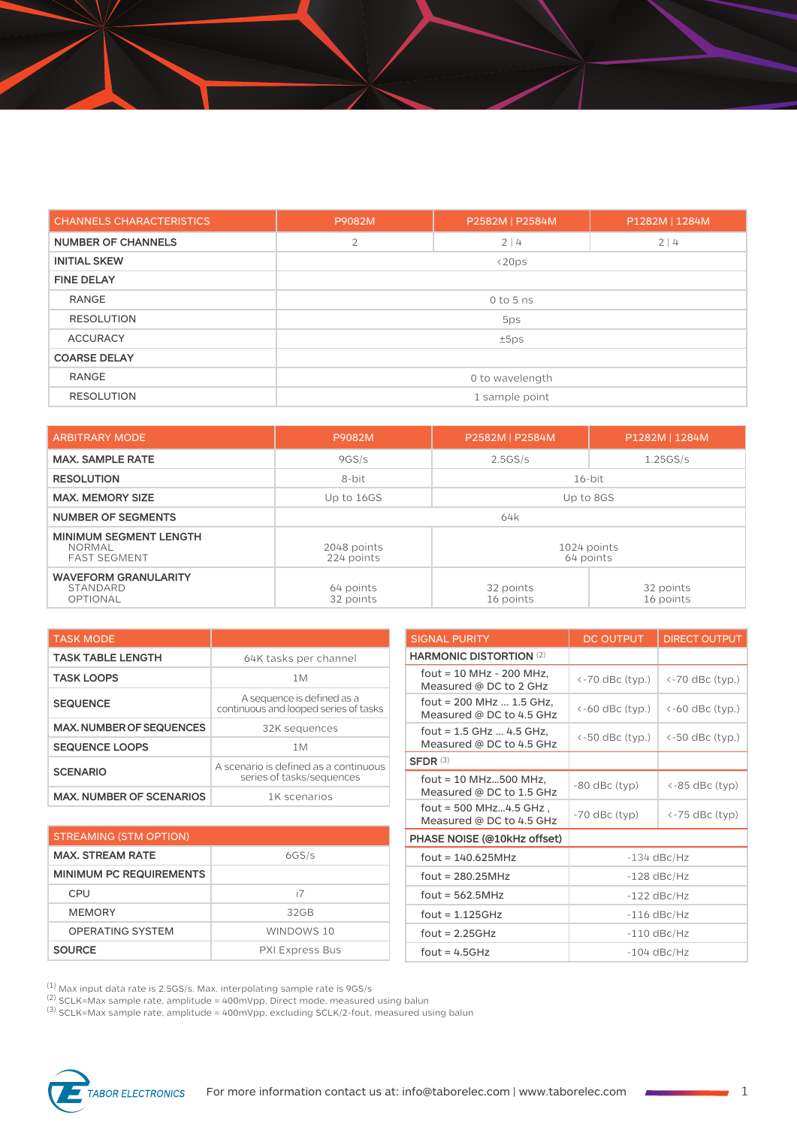| <b>CHANNELS CHARACTERISTICS</b> | P9082M          | P2582M   P2584M | P1282M   1284M |  |
|---------------------------------|-----------------|-----------------|----------------|--|
| <b>NUMBER OF CHANNELS</b>       | $\overline{2}$  | 2 4             |                |  |
| <b>INITIAL SKEW</b>             |                 | $\langle 20ps$  |                |  |
| <b>FINE DELAY</b>               |                 |                 |                |  |
| <b>RANGE</b>                    | $0$ to 5 ns     |                 |                |  |
| <b>RESOLUTION</b>               | 5ps             |                 |                |  |
| <b>ACCURACY</b>                 | ±5ps            |                 |                |  |
| <b>COARSE DELAY</b>             |                 |                 |                |  |
| <b>RANGE</b>                    | 0 to wavelength |                 |                |  |
| <b>RESOLUTION</b>               | 1 sample point  |                 |                |  |

| <b>ARBITRARY MODE</b>                                                 | P9082M                                                | P2582M   P2584M        | P1282M   1284M         |  |
|-----------------------------------------------------------------------|-------------------------------------------------------|------------------------|------------------------|--|
| <b>MAX. SAMPLE RATE</b>                                               | 9GS/s                                                 | 2.5GS/s                | 1.25GS/s               |  |
| <b>RESOLUTION</b>                                                     | 8-bit                                                 | $16$ -bit              |                        |  |
| <b>MAX. MEMORY SIZE</b>                                               | Up to 16GS                                            | Up to 8GS              |                        |  |
| <b>NUMBER OF SEGMENTS</b>                                             | 64k                                                   |                        |                        |  |
| <b>MINIMUM SEGMENT LENGTH</b><br><b>NORMAL</b><br><b>FAST SEGMENT</b> | 1024 points<br>2048 points<br>224 points<br>64 points |                        |                        |  |
| <b>WAVEFORM GRANULARITY</b><br>STANDARD<br>OPTIONAL                   | 64 points<br>32 points                                | 32 points<br>16 points | 32 points<br>16 points |  |

| <b>TASK MODE</b>                |                                                                     |  |  |
|---------------------------------|---------------------------------------------------------------------|--|--|
| <b>TASK TABLE LENGTH</b>        | 64K tasks per channel                                               |  |  |
| <b>TASK LOOPS</b>               | 1M                                                                  |  |  |
| <b>SEQUENCE</b>                 | A sequence is defined as a<br>continuous and looped series of tasks |  |  |
| <b>MAX, NUMBER OF SEQUENCES</b> | 32K sequences                                                       |  |  |
| <b>SEQUENCE LOOPS</b>           | 1M                                                                  |  |  |
| <b>SCENARIO</b>                 | A scenario is defined as a continuous<br>series of tasks/sequences  |  |  |
| <b>MAX. NUMBER OF SCENARIOS</b> | 1K scenarios                                                        |  |  |

| <b>STREAMING (STM OPTION)</b>  |                        |  |
|--------------------------------|------------------------|--|
| <b>MAX. STREAM RATE</b>        | 6GS/s                  |  |
| <b>MINIMUM PC REQUIREMENTS</b> |                        |  |
| CPU                            | i7                     |  |
| <b>MEMORY</b>                  | 32 <sub>GB</sub>       |  |
| OPFRATING SYSTEM               | WINDOWS 10             |  |
| <b>SOURCE</b>                  | <b>PXI Express Bus</b> |  |

| <b>SIGNAL PURITY</b>                                   | <b>DC OUTPUT</b> | <b>DIRECT OUTPUT</b>                        |  |
|--------------------------------------------------------|------------------|---------------------------------------------|--|
| <b>HARMONIC DISTORTION (2)</b>                         |                  |                                             |  |
| fout = 10 MHz - 200 MHz,<br>Measured @ DC to 2 GHz     | <-70 dBc (typ.)  | $\left\langle -70 \right\rangle$ dBc (typ.) |  |
| fout = $200$ MHz  1.5 GHz,<br>Measured @ DC to 4.5 GHz | <-60 dBc (typ.)  | $\leftarrow$ 60 dBc (typ.)                  |  |
| fout = $1.5$ GHz  4.5 GHz,<br>Measured @ DC to 4.5 GHz | <-50 dBc (typ.)  | $\leftarrow$ 50 dBc (typ.)                  |  |
| $SFDR$ (3)                                             |                  |                                             |  |
| fout = $10$ MHz500 MHz,<br>Measured @ DC to 1.5 GHz    | -80 dBc (typ)    | <-85 dBc (typ)                              |  |
| fout = $500$ MHz4.5 GHz,<br>Measured @ DC to 4.5 GHz   | $-70$ dBc (typ)  | <-75 dBc (typ)                              |  |
| PHASE NOISE (@10kHz offset)                            |                  |                                             |  |
| $f$ out = 140.625MHz                                   | $-134$ dBc/Hz    |                                             |  |
| $fout = 280.25MHz$                                     | $-128$ dBc/Hz    |                                             |  |
| $fout = 562.5MHz$                                      | $-122$ dBc/Hz    |                                             |  |
| fout = $1.125$ GHz                                     | $-116$ dBc/Hz    |                                             |  |
| fout = $2.25GHz$                                       | $-110$ dBc/Hz    |                                             |  |
| $fout = 4.5GHz$                                        | $-104$ dBc/Hz    |                                             |  |

 $^{\left(1\right)}$  Max input data rate is 2.5GS/s. Max. interpolating sample rate is 9GS/s

 $^{(2)}$  SCLK=Max sample rate, amplitude = 400mVpp, Direct mode, measured using balun

 $^{(3)}$  SCLK=Max sample rate, amplitude = 400mVpp, excluding SCLK/2-fout, measured using balun

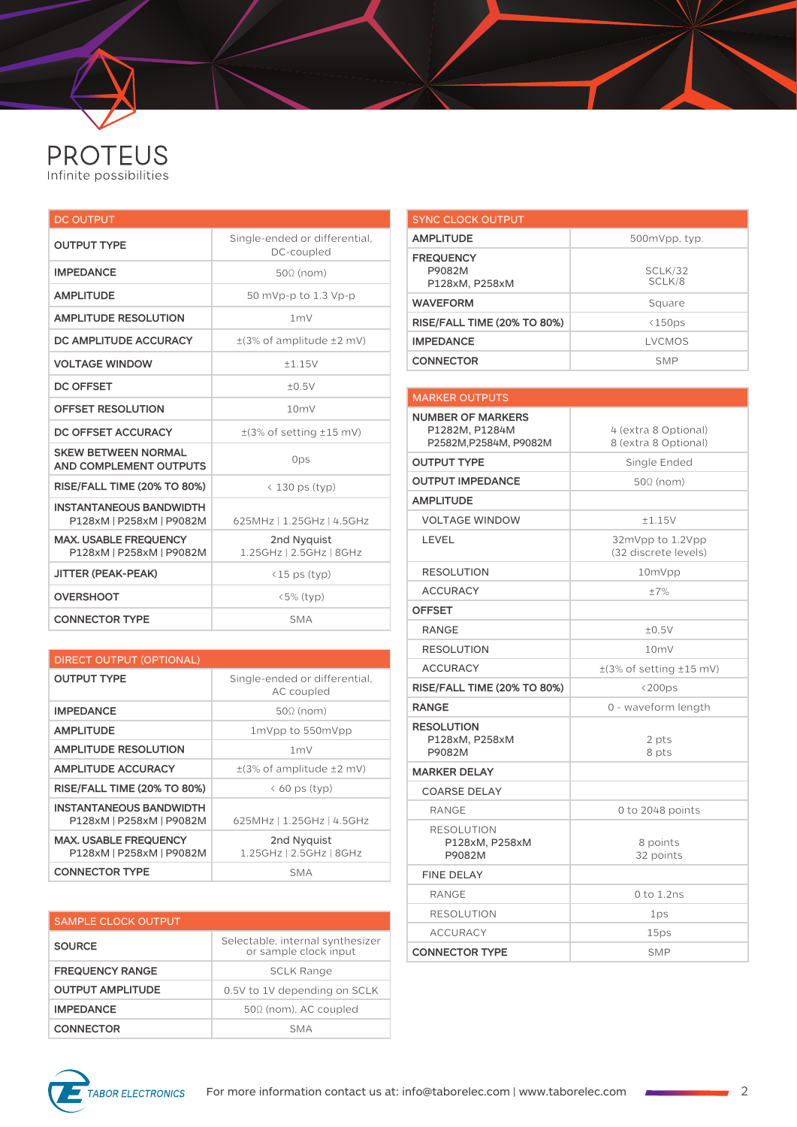

| <b>DC OUTPUT</b>                                           |                                             |  |  |
|------------------------------------------------------------|---------------------------------------------|--|--|
| <b>OUTPUT TYPE</b>                                         | Single-ended or differential,<br>DC-coupled |  |  |
| <b>IMPEDANCE</b>                                           | $50\Omega$ (nom)                            |  |  |
| <b>AMPLITUDE</b>                                           | 50 mVp-p to 1.3 Vp-p                        |  |  |
| <b>AMPLITUDE RESOLUTION</b>                                | 1 <sub>m</sub>                              |  |  |
| DC AMPLITUDE ACCURACY                                      | $\pm$ (3% of amplitude $\pm$ 2 mV)          |  |  |
| <b>VOLTAGE WINDOW</b>                                      | ±1.15V                                      |  |  |
| <b>DC OFFSET</b>                                           | ±0.5V                                       |  |  |
| <b>OFFSET RESOLUTION</b>                                   | 10mV                                        |  |  |
| DC OFFSET ACCURACY                                         | $\pm$ (3% of setting $\pm$ 15 mV)           |  |  |
| <b>SKEW BETWEEN NORMAL</b><br>AND COMPLEMENT OUTPUTS       | 0ps                                         |  |  |
| <b>RISE/FALL TIME (20% TO 80%)</b>                         | < 130 ps (typ)                              |  |  |
| <b>INSTANTANEOUS BANDWIDTH</b><br>P128xM   P258xM   P9082M | 625MHz   1.25GHz   4.5GHz                   |  |  |
| <b>MAX, USABLE FREQUENCY</b><br>P128xM   P258xM   P9082M   | 2nd Nyquist<br>1.25GHz   2.5GHz   8GHz      |  |  |
| <b>JITTER (PEAK-PEAK)</b>                                  | $(15 \text{ ps (typ)})$                     |  |  |
| <b>OVERSHOOT</b>                                           | $\langle 5\%$ (typ)                         |  |  |
| <b>CONNECTOR TYPE</b>                                      | <b>SMA</b>                                  |  |  |

| <b>DIRECT OUTPUT (OPTIONAL)</b>                            |                                             |  |  |  |
|------------------------------------------------------------|---------------------------------------------|--|--|--|
| <b>OUTPUT TYPE</b>                                         | Single-ended or differential,<br>AC coupled |  |  |  |
| <b>IMPEDANCE</b>                                           | $50\Omega$ (nom)                            |  |  |  |
| <b>AMPLITUDE</b>                                           | 1mVpp to 550mVpp                            |  |  |  |
| <b>AMPLITUDE RESOLUTION</b>                                | 1 <sub>m</sub>                              |  |  |  |
| <b>AMPLITUDE ACCURACY</b>                                  | $\pm$ (3% of amplitude $\pm$ 2 mV)          |  |  |  |
| <b>RISE/FALL TIME (20% TO 80%)</b>                         | $\langle$ 60 ps (typ)                       |  |  |  |
| <b>INSTANTANEOUS BANDWIDTH</b><br>P128xM   P258xM   P9082M | 625MHz   1.25GHz   4.5GHz                   |  |  |  |
| <b>MAX. USABLE FREQUENCY</b><br>P128xM   P258xM   P9082M   | 2nd Nyquist<br>1.25GHz   2.5GHz   8GHz      |  |  |  |
| <b>CONNECTOR TYPE</b>                                      | <b>SMA</b>                                  |  |  |  |

| <b>SAMPLE CLOCK OUTPUT</b> |                                                           |
|----------------------------|-----------------------------------------------------------|
| <b>SOURCE</b>              | Selectable, internal synthesizer<br>or sample clock input |
| <b>FREQUENCY RANGE</b>     | <b>SCLK Range</b>                                         |
| <b>OUTPUT AMPLITUDE</b>    | 0.5V to 1V depending on SCLK                              |
| <b>IMPEDANCE</b>           | 500 (nom), AC coupled                                     |
| <b>CONNECTOR</b>           | <b>SMA</b>                                                |

| <b>SYNC CLOCK OUTPUT</b>                     |                         |
|----------------------------------------------|-------------------------|
| <b>AMPLITUDE</b>                             | 500mVpp, typ.           |
| <b>FREQUENCY</b><br>P9082M<br>P128xM, P258xM | SCLK/32<br>SCLK/8       |
| <b>WAVEFORM</b>                              | Square                  |
| <b>RISE/FALL TIME (20% TO 80%)</b>           | $\langle 150 \text{ps}$ |
| <b>IMPEDANCE</b>                             | LVCMOS                  |
| <b>CONNECTOR</b>                             | <b>SMP</b>              |
|                                              |                         |

| <b>MARKER OUTPUTS</b>                                                |                                              |  |  |
|----------------------------------------------------------------------|----------------------------------------------|--|--|
| <b>NUMBER OF MARKERS</b><br>P1282M. P1284M<br>P2582M, P2584M, P9082M | 4 (extra 8 Optional)<br>8 (extra 8 Optional) |  |  |
| <b>OUTPUT TYPE</b>                                                   | Single Ended                                 |  |  |
| <b>OUTPUT IMPEDANCE</b>                                              | $50\Omega$ (nom)                             |  |  |
| <b>AMPLITUDE</b>                                                     |                                              |  |  |
| <b>VOLTAGE WINDOW</b>                                                | ±1.15V                                       |  |  |
| LEVEL                                                                | 32mVpp to 1.2Vpp<br>(32 discrete levels)     |  |  |
| <b>RESOLUTION</b>                                                    | 10mVpp                                       |  |  |
| <b>ACCURACY</b>                                                      | $+7%$                                        |  |  |
| <b>OFFSET</b>                                                        |                                              |  |  |
| <b>RANGE</b>                                                         | ±0.5V                                        |  |  |
| <b>RESOLUTION</b>                                                    | 10 <sub>m</sub>                              |  |  |
| <b>ACCURACY</b>                                                      | $\pm$ (3% of setting $\pm$ 15 mV)            |  |  |
| <b>RISE/FALL TIME (20% TO 80%)</b>                                   | $\langle 200 \text{ps}$                      |  |  |
| <b>RANGE</b>                                                         | 0 - waveform length                          |  |  |
| <b>RESOLUTION</b><br>P128xM, P258xM<br>P9082M                        | 2 pts<br>8 pts                               |  |  |
| <b>MARKER DELAY</b>                                                  |                                              |  |  |
| <b>COARSE DELAY</b>                                                  |                                              |  |  |
| RANGE                                                                | 0 to $2048$ points                           |  |  |
| <b>RESOLUTION</b><br>P128xM, P258xM<br>P9082M                        | 8 points<br>32 points                        |  |  |
| <b>FINE DELAY</b>                                                    |                                              |  |  |
| <b>RANGE</b>                                                         | $0$ to $1.2$ ns                              |  |  |
| <b>RESOLUTION</b>                                                    | 1ps                                          |  |  |
| <b>ACCURACY</b>                                                      | 15ps                                         |  |  |
| <b>CONNECTOR TYPE</b>                                                | <b>SMP</b>                                   |  |  |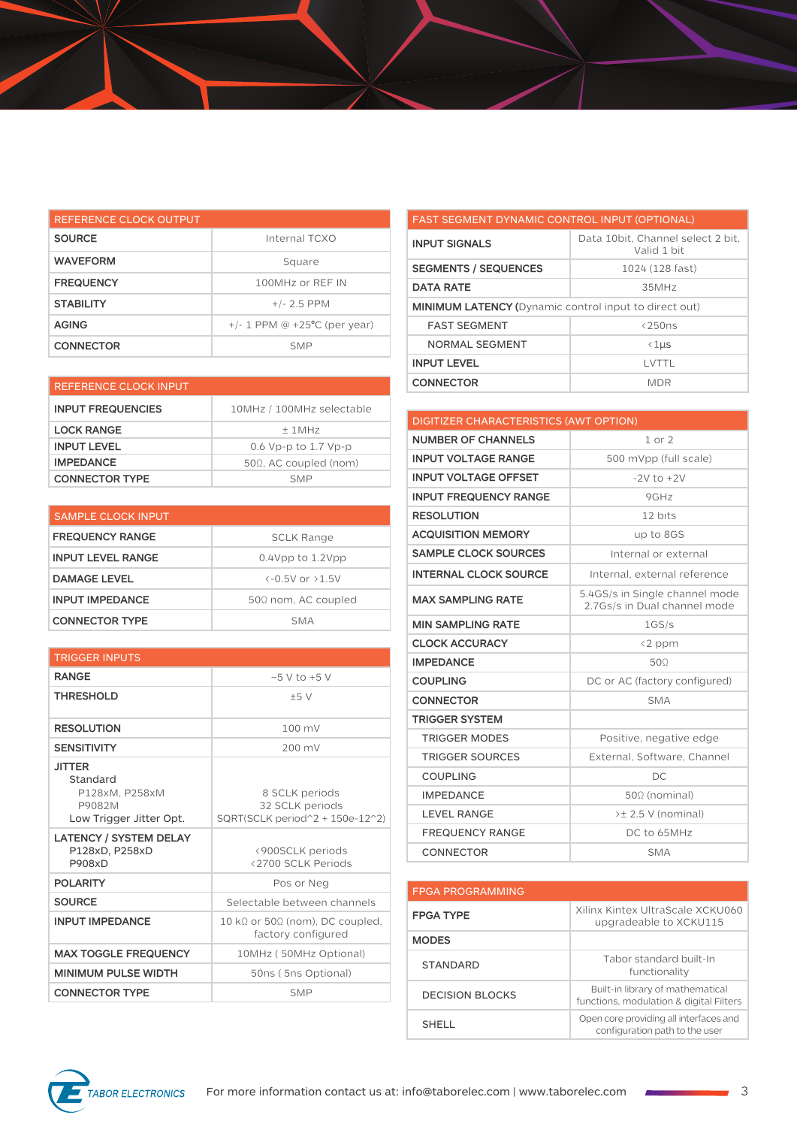| REFERENCE CLOCK OUTPUT |                                   |  |
|------------------------|-----------------------------------|--|
| <b>SOURCE</b>          | Internal TCXO                     |  |
| <b>WAVEFORM</b>        | Square                            |  |
| <b>FREQUENCY</b>       | 100MHz or RFF IN                  |  |
| <b>STABILITY</b>       | $+/- 2.5$ PPM                     |  |
| <b>AGING</b>           | $+/- 1$ PPM @ $+25$ °C (per year) |  |
| <b>CONNECTOR</b>       | <b>SMP</b>                        |  |

| <b>REFERENCE CLOCK INPUT</b> |                               | <b>CONNECTOR</b>                       | <b>MDR</b>       |
|------------------------------|-------------------------------|----------------------------------------|------------------|
| <b>INPUT FREQUENCIES</b>     | 10MHz / 100MHz selectable     |                                        |                  |
| <b>LOCK RANGE</b>            | $±$ 1MHz                      | DIGITIZER CHARACTERISTICS (AWT OPTION) |                  |
|                              |                               | <b>NUMBER OF CHANNELS</b>              | $1$ or $2$       |
| <b>INPUT LEVEL</b>           | 0.6 Vp-p to 1.7 Vp-p          |                                        |                  |
| <b>IMPEDANCE</b>             | $50\Omega$ . AC coupled (nom) | <b>INPUT VOLTAGE RANGE</b>             | $500$ mVpp (from |
| <b>CONNECTOR TYPE</b>        | <b>SMP</b>                    | <b>INPUT VOLTAGE OFFSET</b>            | $-2V$ to $+$     |

| <b>SAMPLE CLOCK INPUT</b> |                                   |
|---------------------------|-----------------------------------|
| <b>FREQUENCY RANGE</b>    | <b>SCLK Range</b>                 |
| <b>INPUT LEVEL RANGE</b>  | $0.4$ Vpp to $1.2$ Vpp            |
| <b>DAMAGE LEVEL</b>       | $\left(-0.5V_0r_0+5V_0r_0\right)$ |
| <b>INPUT IMPEDANCE</b>    | $50\Omega$ nom, AC coupled        |
| <b>CONNECTOR TYPE</b>     | SMA                               |

| <b>TRIGGER INPUTS</b>                                                            |                                                                       |  |
|----------------------------------------------------------------------------------|-----------------------------------------------------------------------|--|
| <b>RANGE</b>                                                                     | $-5$ V to $+5$ V                                                      |  |
| <b>THRESHOLD</b>                                                                 | ±5V                                                                   |  |
| <b>RESOLUTION</b>                                                                | $100 \text{ mV}$                                                      |  |
| <b>SENSITIVITY</b>                                                               | 200 mV                                                                |  |
| <b>JITTER</b><br>Standard<br>P128xM. P258xM<br>P9082M<br>Low Trigger Jitter Opt. | 8 SCLK periods<br>32 SCLK periods<br>SQRT(SCLK period^2 + 150e-12^2)  |  |
| <b>LATENCY / SYSTEM DELAY</b><br>P128xD, P258xD<br><b>P908xD</b>                 | <900SCLK periods<br><2700 SCLK Periods                                |  |
| <b>POLARITY</b>                                                                  | Pos or Neg                                                            |  |
| <b>SOURCE</b>                                                                    | Selectable between channels                                           |  |
| <b>INPUT IMPEDANCE</b>                                                           | 10 k $\Omega$ or 50 $\Omega$ (nom), DC coupled,<br>factory configured |  |
| <b>MAX TOGGLE FREQUENCY</b>                                                      | 10MHz (50MHz Optional)                                                |  |
| <b>MINIMUM PULSE WIDTH</b>                                                       | 50ns (5ns Optional)                                                   |  |
| <b>CONNECTOR TYPE</b>                                                            | <b>SMP</b>                                                            |  |

| <b>FAST SEGMENT DYNAMIC CONTROL INPUT (OPTIONAL)</b>         |                                                   |  |
|--------------------------------------------------------------|---------------------------------------------------|--|
| <b>INPUT SIGNALS</b>                                         | Data 10 bit. Channel select 2 bit.<br>Valid 1 bit |  |
| <b>SEGMENTS / SEQUENCES</b>                                  | 1024 (128 fast)                                   |  |
| <b>DATA RATE</b>                                             | 35MHz                                             |  |
| <b>MINIMUM LATENCY (Dynamic control input to direct out)</b> |                                                   |  |
| <b>FAST SEGMENT</b>                                          | $\langle 250ns$                                   |  |
| NORMAL SEGMENT                                               | $\langle 1 \mu s$                                 |  |
| <b>INPUT LEVEL</b>                                           | I VTTI                                            |  |
| <b>CONNECTOR</b>                                             | MDR                                               |  |

| <b>DIGITIZER CHARACTERISTICS (AWT OPTION)</b> |                                                                |  |
|-----------------------------------------------|----------------------------------------------------------------|--|
| <b>NUMBER OF CHANNELS</b>                     | $1$ or $2$                                                     |  |
| <b>INPUT VOLTAGE RANGE</b>                    | 500 mVpp (full scale)                                          |  |
| <b>INPUT VOLTAGE OFFSET</b>                   | $-2V$ to $+2V$                                                 |  |
| <b>INPUT FREQUENCY RANGE</b>                  | 9GHz                                                           |  |
| <b>RESOLUTION</b>                             | 12 bits                                                        |  |
| <b>ACQUISITION MEMORY</b>                     | up to 8GS                                                      |  |
| <b>SAMPLE CLOCK SOURCES</b>                   | Internal or external                                           |  |
| <b>INTERNAL CLOCK SOURCE</b>                  | Internal, external reference                                   |  |
| <b>MAX SAMPLING RATE</b>                      | 5.4GS/s in Single channel mode<br>2.7Gs/s in Dual channel mode |  |
| <b>MIN SAMPLING RATE</b>                      | 1GS/s                                                          |  |
| <b>CLOCK ACCURACY</b>                         | <2 ppm                                                         |  |
| <b>IMPEDANCE</b>                              | 500                                                            |  |
| <b>COUPLING</b>                               | DC or AC (factory configured)                                  |  |
| <b>CONNECTOR</b>                              | <b>SMA</b>                                                     |  |
| <b>TRIGGER SYSTEM</b>                         |                                                                |  |
| <b>TRIGGER MODES</b>                          | Positive, negative edge                                        |  |
| <b>TRIGGER SOURCES</b>                        | External, Software, Channel                                    |  |
| <b>COUPLING</b>                               | DC.                                                            |  |
| <b>IMPEDANCE</b>                              | $50\Omega$ (nominal)                                           |  |
| <b>LEVEL RANGE</b>                            | $\geq \pm 2.5$ V (nominal)                                     |  |
| <b>FREQUENCY RANGE</b>                        | DC to 65MHz                                                    |  |
| CONNECTOR                                     | <b>SMA</b>                                                     |  |

| <b>FPGA PROGRAMMING</b> |                                                                             |
|-------------------------|-----------------------------------------------------------------------------|
| <b>FPGA TYPE</b>        | Xilinx Kintex UltraScale XCKU060<br>upgradeable to XCKU115                  |
| <b>MODES</b>            |                                                                             |
| <b>STANDARD</b>         | Tabor standard built-In<br>functionality                                    |
| DECISION BLOCKS         | Built-in library of mathematical<br>functions, modulation & digital Filters |
| SHELL.                  | Open core providing all interfaces and<br>configuration path to the user    |